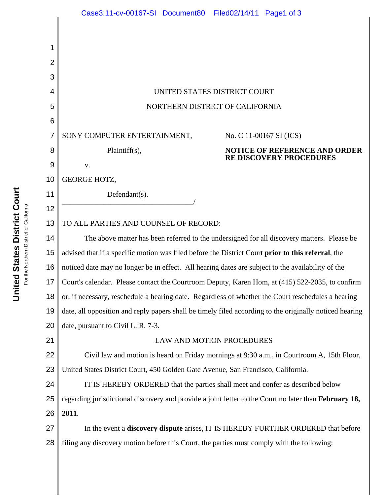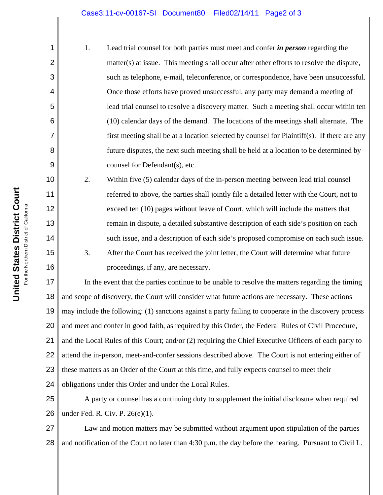## Case3:11-cv-00167-SI Document80 Filed02/14/11 Page2 of 3

1. Lead trial counsel for both parties must meet and confer *in person* regarding the matter(s) at issue. This meeting shall occur after other efforts to resolve the dispute, such as telephone, e-mail, teleconference, or correspondence, have been unsuccessful. Once those efforts have proved unsuccessful, any party may demand a meeting of lead trial counsel to resolve a discovery matter. Such a meeting shall occur within ten (10) calendar days of the demand. The locations of the meetings shall alternate. The first meeting shall be at a location selected by counsel for Plaintiff(s). If there are any future disputes, the next such meeting shall be held at a location to be determined by counsel for Defendant(s), etc.

2. Within five (5) calendar days of the in-person meeting between lead trial counsel referred to above, the parties shall jointly file a detailed letter with the Court, not to exceed ten (10) pages without leave of Court, which will include the matters that remain in dispute, a detailed substantive description of each side's position on each such issue, and a description of each side's proposed compromise on each such issue. 3. After the Court has received the joint letter, the Court will determine what future proceedings, if any, are necessary.

17 18 19 20 21 22 23 24 In the event that the parties continue to be unable to resolve the matters regarding the timing and scope of discovery, the Court will consider what future actions are necessary. These actions may include the following: (1) sanctions against a party failing to cooperate in the discovery process and meet and confer in good faith, as required by this Order, the Federal Rules of Civil Procedure, and the Local Rules of this Court; and/or (2) requiring the Chief Executive Officers of each party to attend the in-person, meet-and-confer sessions described above. The Court is not entering either of these matters as an Order of the Court at this time, and fully expects counsel to meet their obligations under this Order and under the Local Rules.

25 26 A party or counsel has a continuing duty to supplement the initial disclosure when required under Fed. R. Civ. P. 26(e)(1).

27 28 Law and motion matters may be submitted without argument upon stipulation of the parties and notification of the Court no later than 4:30 p.m. the day before the hearing. Pursuant to Civil L.

1

2

3

4

5

6

7

8

9

10

11

12

13

14

15

16